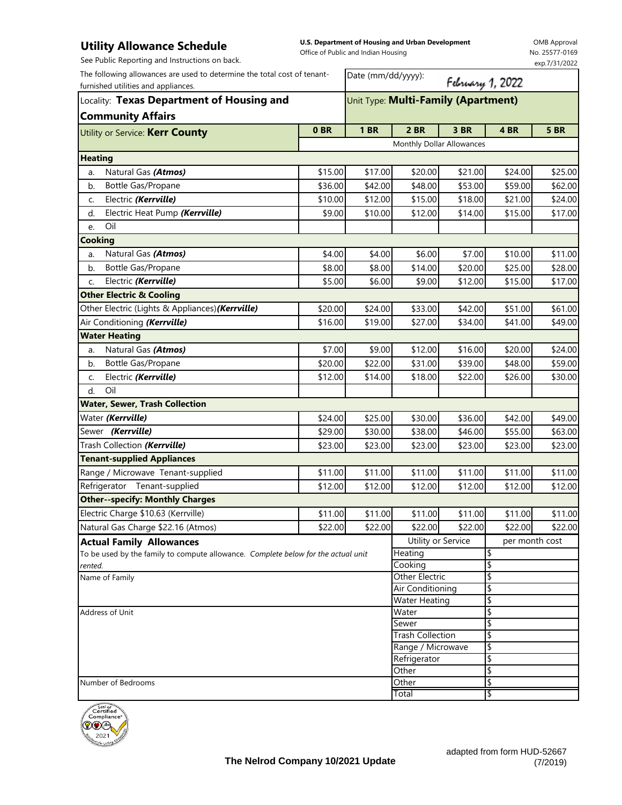## **Utility Allowance Schedule**

**U.S. Department of Housing and Urban Development**  Office of Public and Indian Housing

OMB Approval No. 25577-0169 exp.7/31/2022

See Public Reporting and Instructions on back.

| See Fublic Reporting and instructions on back.                                                                                                                                           |         |                                     |                           |                  |                | exp.7/31/2022 |  |
|------------------------------------------------------------------------------------------------------------------------------------------------------------------------------------------|---------|-------------------------------------|---------------------------|------------------|----------------|---------------|--|
| The following allowances are used to determine the total cost of tenant-<br>furnished utilities and appliances.<br>Locality: Texas Department of Housing and<br><b>Community Affairs</b> |         | Date (mm/dd/yyyy):                  |                           | February 1, 2022 |                |               |  |
|                                                                                                                                                                                          |         | Unit Type: Multi-Family (Apartment) |                           |                  |                |               |  |
|                                                                                                                                                                                          |         |                                     |                           |                  |                |               |  |
|                                                                                                                                                                                          |         |                                     | Monthly Dollar Allowances |                  |                |               |  |
| <b>Heating</b>                                                                                                                                                                           |         |                                     |                           |                  |                |               |  |
| Natural Gas (Atmos)<br>a.                                                                                                                                                                | \$15.00 | \$17.00                             | \$20.00                   | \$21.00          | \$24.00        | \$25.00       |  |
| Bottle Gas/Propane<br>b.                                                                                                                                                                 | \$36.00 | \$42.00                             | \$48.00                   | \$53.00          | \$59.00        | \$62.00       |  |
| Electric (Kerrville)<br>C.                                                                                                                                                               | \$10.00 | \$12.00                             | \$15.00                   | \$18.00          | \$21.00        | \$24.00       |  |
| Electric Heat Pump (Kerrville)<br>d.                                                                                                                                                     | \$9.00  | \$10.00                             | \$12.00                   | \$14.00          | \$15.00        | \$17.00       |  |
| Oil<br>e.                                                                                                                                                                                |         |                                     |                           |                  |                |               |  |
| <b>Cooking</b>                                                                                                                                                                           |         |                                     |                           |                  |                |               |  |
| Natural Gas (Atmos)<br>a.                                                                                                                                                                | \$4.00  | \$4.00                              | \$6.00                    | \$7.00           | \$10.00        | \$11.00       |  |
| Bottle Gas/Propane<br>b.                                                                                                                                                                 | \$8.00  | \$8.00                              | \$14.00                   | \$20.00          | \$25.00        | \$28.00       |  |
| Electric (Kerrville)<br>C.                                                                                                                                                               | \$5.00  | \$6.00                              | \$9.00                    | \$12.00          | \$15.00        | \$17.00       |  |
| <b>Other Electric &amp; Cooling</b>                                                                                                                                                      |         |                                     |                           |                  |                |               |  |
| Other Electric (Lights & Appliances) (Kerrville)                                                                                                                                         | \$20.00 | \$24.00                             | \$33.00                   | \$42.00          | \$51.00        | \$61.00       |  |
| Air Conditioning (Kerrville)                                                                                                                                                             | \$16.00 | \$19.00                             | \$27.00                   | \$34.00          | \$41.00        | \$49.00       |  |
| <b>Water Heating</b>                                                                                                                                                                     |         |                                     |                           |                  |                |               |  |
| Natural Gas (Atmos)<br>a.                                                                                                                                                                | \$7.00  | \$9.00                              | \$12.00                   | \$16.00          | \$20.00        | \$24.00       |  |
| Bottle Gas/Propane<br>b.                                                                                                                                                                 | \$20.00 | \$22.00                             | \$31.00                   | \$39.00          | \$48.00        | \$59.00       |  |
| Electric (Kerrville)<br>C.                                                                                                                                                               | \$12.00 | \$14.00                             | \$18.00                   | \$22.00          | \$26.00        | \$30.00       |  |
| Oil<br>d.                                                                                                                                                                                |         |                                     |                           |                  |                |               |  |
| <b>Water, Sewer, Trash Collection</b>                                                                                                                                                    |         |                                     |                           |                  |                |               |  |
| Water (Kerrville)                                                                                                                                                                        | \$24.00 | \$25.00                             | \$30.00                   | \$36.00          | \$42.00        | \$49.00       |  |
| Sewer (Kerrville)                                                                                                                                                                        | \$29.00 | \$30.00                             | \$38.00                   | \$46.00          | \$55.00        | \$63.00       |  |
| Trash Collection (Kerrville)                                                                                                                                                             | \$23.00 | \$23.00                             | \$23.00                   | \$23.00          | \$23.00        | \$23.00       |  |
| <b>Tenant-supplied Appliances</b>                                                                                                                                                        |         |                                     |                           |                  |                |               |  |
| Range / Microwave Tenant-supplied                                                                                                                                                        | \$11.00 | \$11.00                             | \$11.00                   | \$11.00          | \$11.00        | \$11.00       |  |
| Refrigerator Tenant-supplied                                                                                                                                                             | \$12.00 | \$12.00                             | \$12.00                   | \$12.00          | \$12.00        | \$12.00       |  |
| <b>Other--specify: Monthly Charges</b>                                                                                                                                                   |         |                                     |                           |                  |                |               |  |
| Electric Charge \$10.63 (Kerrville)                                                                                                                                                      | \$11.00 | \$11.00                             | \$11.00                   | \$11.00          | \$11.00        | \$11.00       |  |
| Natural Gas Charge \$22.16 (Atmos)                                                                                                                                                       | \$22.00 | \$22.00                             | \$22.00                   | \$22.00          | \$22.00        | \$22.00       |  |
| <b>Actual Family Allowances</b>                                                                                                                                                          |         |                                     | Utility or Service        |                  | per month cost |               |  |
| To be used by the family to compute allowance. Complete below for the actual unit                                                                                                        |         |                                     | Heating                   |                  | \$             |               |  |

|                      | Tother | . .         |
|----------------------|--------|-------------|
| Number of Bedrooms   | Other  | l đ<br>ان د |
|                      | Total  | l d<br>ان د |
| 1.1111111<br>Seal of |        |             |

Name of Family **Other Electric Other Electric** 



*rented.*

Address of Unit

\$ \$

\$ \$ \$ \$ \$

\$

Cooking

Air Conditioning Water Heating Water Sewer

Trash Collection

Other \

Range / Microwave \$ Refrigerator \$